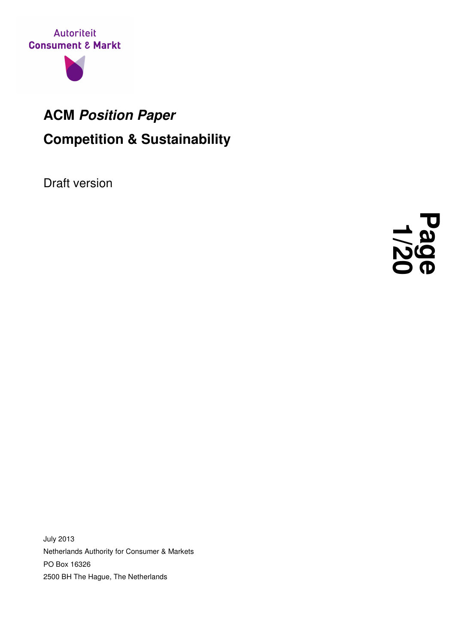



## **ACM Position Paper Competition & Sustainability**

Draft version



July 2013 Netherlands Authority for Consumer & Markets PO Box 16326 2500 BH The Hague, The Netherlands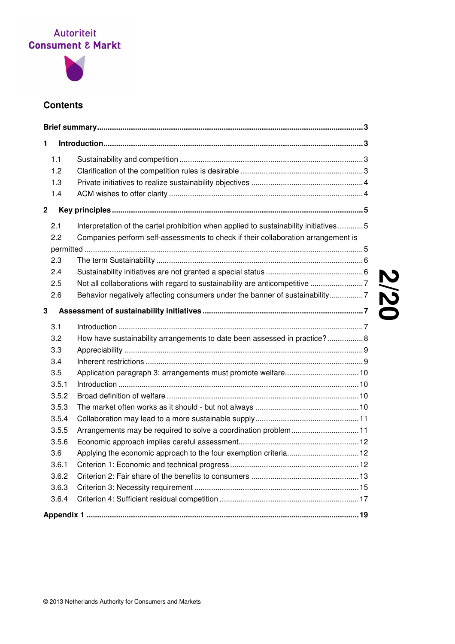

## **Contents**

| 1           |                                                                                       |
|-------------|---------------------------------------------------------------------------------------|
|             |                                                                                       |
| 1.2         |                                                                                       |
| 1.3         |                                                                                       |
| 1.4         |                                                                                       |
| $\mathbf 2$ |                                                                                       |
| 2.1         | Interpretation of the cartel prohibition when applied to sustainability initiatives 5 |
| 2.2         | Companies perform self-assessments to check if their collaboration arrangement is     |
|             |                                                                                       |
| 2.3         |                                                                                       |
| 2.4         |                                                                                       |
| 2.5         |                                                                                       |
| 2.6         | Behavior negatively affecting consumers under the banner of sustainability7           |
| 3           |                                                                                       |
| 3.1         |                                                                                       |
| 3.2         | How have sustainability arrangements to date been assessed in practice? 8             |
| 3.3         |                                                                                       |
| 3.4         |                                                                                       |
| $3.5\,$     |                                                                                       |
| 3.5.1       |                                                                                       |
| 3.5.2       |                                                                                       |
| 3.5.3       |                                                                                       |
| 3.5.4       |                                                                                       |
| 3.5.5       | Arrangements may be required to solve a coordination problem11                        |
| 3.5.6       |                                                                                       |
| 3.6         | Applying the economic approach to the four exemption criteria 12                      |
| 3.6.1       |                                                                                       |
| 3.6.2       |                                                                                       |
| 3.6.3       |                                                                                       |
| 3.6.4       |                                                                                       |
|             |                                                                                       |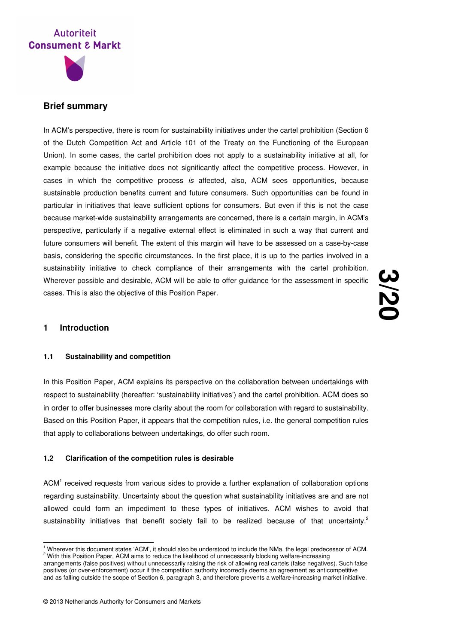



## **Brief summary**

In ACM's perspective, there is room for sustainability initiatives under the cartel prohibition (Section 6) of the Dutch Competition Act and Article 101 of the Treaty on the Functioning of the European Union). In some cases, the cartel prohibition does not apply to a sustainability initiative at all, for example because the initiative does not significantly affect the competitive process. However, in cases in which the competitive process is affected, also, ACM sees opportunities, because sustainable production benefits current and future consumers. Such opportunities can be found in particular in initiatives that leave sufficient options for consumers. But even if this is not the case because market-wide sustainability arrangements are concerned, there is a certain margin, in ACM's perspective, particularly if a negative external effect is eliminated in such a way that current and future consumers will benefit. The extent of this margin will have to be assessed on a case-by-case basis, considering the specific circumstances. In the first place, it is up to the parties involved in a sustainability initiative to check compliance of their arrangements with the cartel prohibition. Wherever possible and desirable, ACM will be able to offer guidance for the assessment in specific cases. This is also the objective of this Position Paper.

**3 /20**

## **1 Introduction**

## **1.1 Sustainability and competition**

In this Position Paper, ACM explains its perspective on the collaboration between undertakings with respect to sustainability (hereafter: 'sustainability initiatives') and the cartel prohibition. ACM does so in order to offer businesses more clarity about the room for collaboration with regard to sustainability. Based on this Position Paper, it appears that the competition rules, i.e. the general competition rules that apply to collaborations between undertakings, do offer such room.

### **1.2 Clarification of the competition rules is desirable**

ACM<sup>1</sup> received requests from various sides to provide a further explanation of collaboration options regarding sustainability. Uncertainty about the question what sustainability initiatives are and are not allowed could form an impediment to these types of initiatives. ACM wishes to avoid that sustainability initiatives that benefit society fail to be realized because of that uncertainty.<sup>2</sup>

l <sup>1</sup> Wherever this document states 'ACM', it should also be understood to include the NMa, the legal predecessor of ACM. <sup>2</sup> With this Position Paper, ACM aims to reduce the likelihood of unnecessarily blocking welfare-increasing

arrangements (false positives) without unnecessarily raising the risk of allowing real cartels (false negatives). Such false positives (or over-enforcement) occur if the competition authority incorrectly deems an agreement as anticompetitive and as falling outside the scope of Section 6, paragraph 3, and therefore prevents a welfare-increasing market initiative.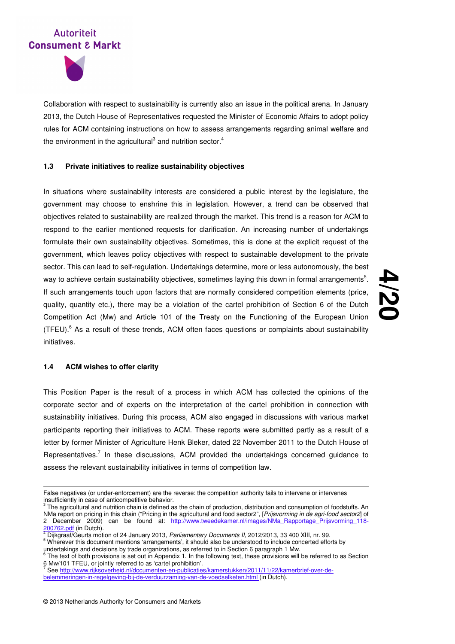

Collaboration with respect to sustainability is currently also an issue in the political arena. In January 2013, the Dutch House of Representatives requested the Minister of Economic Affairs to adopt policy rules for ACM containing instructions on how to assess arrangements regarding animal welfare and the environment in the agricultural<sup>3</sup> and nutrition sector.<sup>4</sup>

## **1.3 Private initiatives to realize sustainability objectives**

In situations where sustainability interests are considered a public interest by the legislature, the government may choose to enshrine this in legislation. However, a trend can be observed that objectives related to sustainability are realized through the market. This trend is a reason for ACM to respond to the earlier mentioned requests for clarification. An increasing number of undertakings formulate their own sustainability objectives. Sometimes, this is done at the explicit request of the government, which leaves policy objectives with respect to sustainable development to the private sector. This can lead to self-regulation. Undertakings determine, more or less autonomously, the best way to achieve certain sustainability objectives, sometimes laying this down in formal arrangements<sup>5</sup>. If such arrangements touch upon factors that are normally considered competition elements (price, quality, quantity etc.), there may be a violation of the cartel prohibition of Section 6 of the Dutch Competition Act (Mw) and Article 101 of the Treaty on the Functioning of the European Union (TFEU).<sup>6</sup> As a result of these trends, ACM often faces questions or complaints about sustainability initiatives.

# **4 /20**

#### **1.4 ACM wishes to offer clarity**

l

This Position Paper is the result of a process in which ACM has collected the opinions of the corporate sector and of experts on the interpretation of the cartel prohibition in connection with sustainability initiatives. During this process, ACM also engaged in discussions with various market participants reporting their initiatives to ACM. These reports were submitted partly as a result of a letter by former Minister of Agriculture Henk Bleker, dated 22 November 2011 to the Dutch House of Representatives.<sup>7</sup> In these discussions, ACM provided the undertakings concerned guidance to assess the relevant sustainability initiatives in terms of competition law.

undertakings and decisions by trade organizations, as referred to in Section 6 paragraph 1 Mw.

False negatives (or under-enforcement) are the reverse: the competition authority fails to intervene or intervenes insufficiently in case of anticompetitive behavior.

 $3$  The agricultural and nutrition chain is defined as the chain of production, distribution and consumption of foodstuffs. An NMa report on pricing in this chain ("Pricing in the agricultural and food sector2", [Prijsvorming in de agri-food sector2] of 2 December 2009) can be found at: <u>http://www.tweedekamer.nl/images/NMa Rapportage Prijsvorming 118-</u>

<sup>200762.</sup>pdf (in Dutch).<br>4 Dijkgraaf/Geurts motion of 24 January 2013, *Parliamentary Documents II,* 2012/2013, 33 400 XIII, nr. 99. <sup>5</sup> Wherever this document mentions 'arrangements', it should also be understood to include concerted efforts by

<sup>&</sup>lt;sup>6</sup> The text of both provisions is set out in Appendix 1. In the following text, these provisions will be referred to as Section 6 Mw/101 TFEU, or jointly referred to as 'cartel prohibition'.<br><sup>7</sup> See http://www.rijkooverheid.pl/dooumenten.op.publiecties

See http://www.rijksoverheid.nl/documenten-en-publicaties/kamerstukken/2011/11/22/kamerbrief-over-debelemmeringen-in-regelgeving-bij-de-verduurzaming-van-de-voedselketen.html (in Dutch).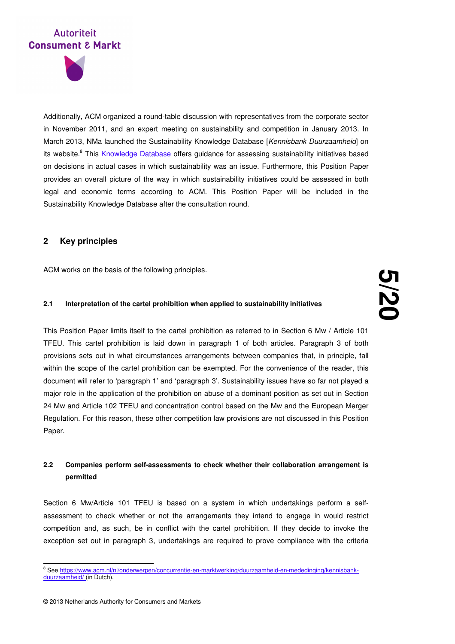

Additionally, ACM organized a round-table discussion with representatives from the corporate sector in November 2011, and an expert meeting on sustainability and competition in January 2013. In March 2013, NMa launched the Sustainability Knowledge Database [Kennisbank Duurzaamheid] on its website.<sup>8</sup> This Knowledge Database offers guidance for assessing sustainability initiatives based on decisions in actual cases in which sustainability was an issue. Furthermore, this Position Paper provides an overall picture of the way in which sustainability initiatives could be assessed in both legal and economic terms according to ACM. This Position Paper will be included in the Sustainability Knowledge Database after the consultation round.

## **2 Key principles**

ACM works on the basis of the following principles.

## **2.1 Interpretation of the cartel prohibition when applied to sustainability initiatives**

This Position Paper limits itself to the cartel prohibition as referred to in Section 6 Mw / Article 101 TFEU. This cartel prohibition is laid down in paragraph 1 of both articles. Paragraph 3 of both provisions sets out in what circumstances arrangements between companies that, in principle, fall within the scope of the cartel prohibition can be exempted. For the convenience of the reader, this document will refer to 'paragraph 1' and 'paragraph 3'. Sustainability issues have so far not played a major role in the application of the prohibition on abuse of a dominant position as set out in Section 24 Mw and Article 102 TFEU and concentration control based on the Mw and the European Merger Regulation. For this reason, these other competition law provisions are not discussed in this Position Paper.

## **2.2 Companies perform self-assessments to check whether their collaboration arrangement is permitted**

Section 6 Mw/Article 101 TFEU is based on a system in which undertakings perform a selfassessment to check whether or not the arrangements they intend to engage in would restrict competition and, as such, be in conflict with the cartel prohibition. If they decide to invoke the exception set out in paragraph 3, undertakings are required to prove compliance with the criteria

<sup>&</sup>lt;sup>8</sup> See <u>https://www.acm.nl/nl/onderwerpen/concurrentie-en-marktwerking/duurzaamheid-en-mededinging/kennisbank-</u> duurzaamheid/ (in Dutch).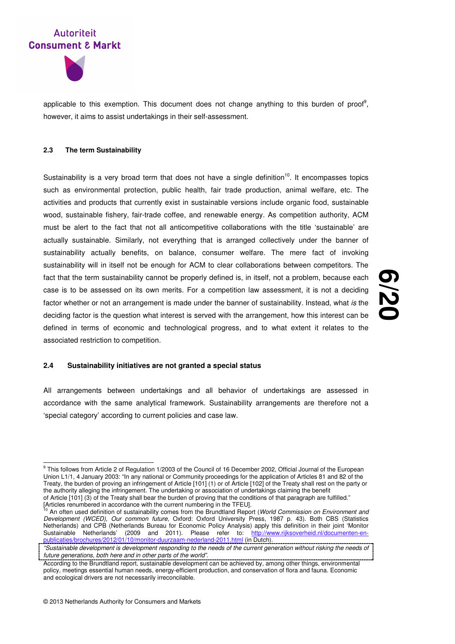



applicable to this exemption. This document does not change anything to this burden of proof<sup>9</sup>, however, it aims to assist undertakings in their self-assessment.

#### **2.3 The term Sustainability**

Sustainability is a very broad term that does not have a single definition<sup>10</sup>. It encompasses topics such as environmental protection, public health, fair trade production, animal welfare, etc. The activities and products that currently exist in sustainable versions include organic food, sustainable wood, sustainable fishery, fair-trade coffee, and renewable energy. As competition authority, ACM must be alert to the fact that not all anticompetitive collaborations with the title 'sustainable' are actually sustainable. Similarly, not everything that is arranged collectively under the banner of sustainability actually benefits, on balance, consumer welfare. The mere fact of invoking sustainability will in itself not be enough for ACM to clear collaborations between competitors. The fact that the term sustainability cannot be properly defined is, in itself, not a problem, because each case is to be assessed on its own merits. For a competition law assessment, it is not a deciding factor whether or not an arrangement is made under the banner of sustainability. Instead, what is the deciding factor is the question what interest is served with the arrangement, how this interest can be defined in terms of economic and technological progress, and to what extent it relates to the associated restriction to competition.

## **6 /20**

## **2.4 Sustainability initiatives are not granted a special status**

All arrangements between undertakings and all behavior of undertakings are assessed in accordance with the same analytical framework. Sustainability arrangements are therefore not a 'special category' according to current policies and case law.

 9 This follows from Article 2 of Regulation 1/2003 of the Council of 16 December 2002, Official Journal of the European Union L1/1, 4 January 2003: "In any national or Community proceedings for the application of Articles 81 and 82 of the Treaty, the burden of proving an infringement of Article [101] (1) or of Article [102] of the Treaty shall rest on the party or the authority alleging the infringement. The undertaking or association of undertakings claiming the benefit of Article [101] (3) of the Treaty shall bear the burden of proving that the conditions of that paragraph are fulfilled." [Articles renumbered in accordance with the current numbering in the TFEU].

An often used definition of sustainability comes from the Brundtland Report (World Commission on Environment and Development (WCED), Our common future, Oxford: Oxford University Press, 1987 p. 43). Both CBS (Statistics Netherlands) and CPB (Netherlands Bureau for Economic Policy Analysis) apply this definition in their joint 'Monitor Sustainable Netherlands' (2009 and 2011). Please refer to: http://www.rijksoverheid.nl/documenten-enease refer to: <u>http://www.rijksoverheid.nl/documenten-en-</u><br>Jerland-2011 html (in Dutch) 10/monitor-duurzaam-nederland-2011.html (in Dutch).

<sup>&</sup>quot;Sustainable development is development responding to the needs of the current generation without risking the needs of future generations, both here and in other parts of the world".

According to the Brundtland report, sustainable development can be achieved by, among other things, environmental policy, meetings essential human needs, energy-efficient production, and conservation of flora and fauna. Economic and ecological drivers are not necessarily irreconcilable.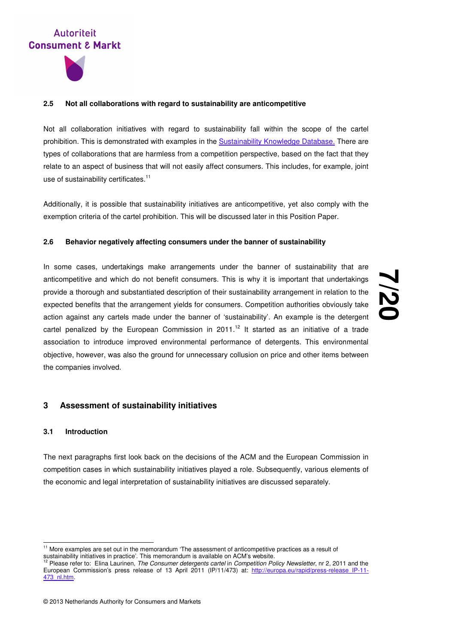

#### **2.5 Not all collaborations with regard to sustainability are anticompetitive**

Not all collaboration initiatives with regard to sustainability fall within the scope of the cartel prohibition. This is demonstrated with examples in the Sustainability Knowledge Database. There are types of collaborations that are harmless from a competition perspective, based on the fact that they relate to an aspect of business that will not easily affect consumers. This includes, for example, joint use of sustainability certificates.<sup>11</sup>

Additionally, it is possible that sustainability initiatives are anticompetitive, yet also comply with the exemption criteria of the cartel prohibition. This will be discussed later in this Position Paper.

#### **2.6 Behavior negatively affecting consumers under the banner of sustainability**

In some cases, undertakings make arrangements under the banner of sustainability that are anticompetitive and which do not benefit consumers. This is why it is important that undertakings provide a thorough and substantiated description of their sustainability arrangement in relation to the expected benefits that the arrangement yields for consumers. Competition authorities obviously take action against any cartels made under the banner of 'sustainability'. An example is the detergent cartel penalized by the European Commission in 2011.<sup>12</sup> It started as an initiative of a trade association to introduce improved environmental performance of detergents. This environmental objective, however, was also the ground for unnecessary collusion on price and other items between the companies involved.

# **7 /20**

## **3 Assessment of sustainability initiatives**

## **3.1 Introduction**

l

The next paragraphs first look back on the decisions of the ACM and the European Commission in competition cases in which sustainability initiatives played a role. Subsequently, various elements of the economic and legal interpretation of sustainability initiatives are discussed separately.

 $11$  More examples are set out in the memorandum 'The assessment of anticompetitive practices as a result of

sustainability initiatives in practice'. This memorandum is available on ACM's website.<br><sup>12</sup> Please refer to: Elina Laurinen, *The Consumer detergents cartel* in *Competition Policy Newsletter*, nr 2, 2011 and the European Commission's press release of 13 April 2011 (IP/11/473) at: http://europa.eu/rapid/press-release\_IP-11- 473\_nl.htm.

<sup>© 2013</sup> Netherlands Authority for Consumers and Markets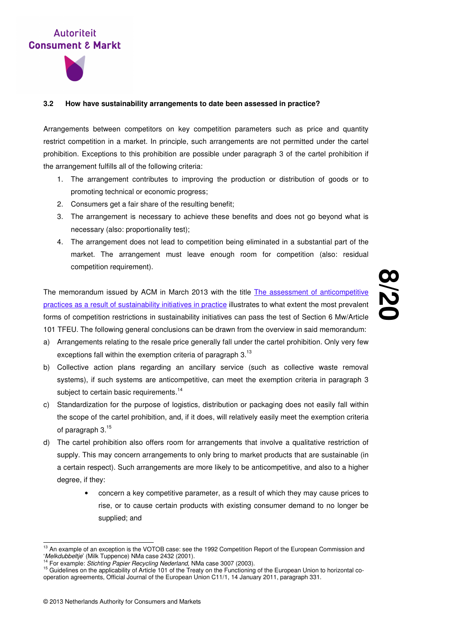

## **3.2 How have sustainability arrangements to date been assessed in practice?**

Arrangements between competitors on key competition parameters such as price and quantity restrict competition in a market. In principle, such arrangements are not permitted under the cartel prohibition. Exceptions to this prohibition are possible under paragraph 3 of the cartel prohibition if the arrangement fulfills all of the following criteria:

- 1. The arrangement contributes to improving the production or distribution of goods or to promoting technical or economic progress;
- 2. Consumers get a fair share of the resulting benefit;
- 3. The arrangement is necessary to achieve these benefits and does not go beyond what is necessary (also: proportionality test);
- 4. The arrangement does not lead to competition being eliminated in a substantial part of the market. The arrangement must leave enough room for competition (also: residual competition requirement).

The memorandum issued by ACM in March 2013 with the title The assessment of anticompetitive practices as a result of sustainability initiatives in practice illustrates to what extent the most prevalent forms of competition restrictions in sustainability initiatives can pass the test of Section 6 Mw/Article 101 TFEU. The following general conclusions can be drawn from the overview in said memorandum:

- a) Arrangements relating to the resale price generally fall under the cartel prohibition. Only very few exceptions fall within the exemption criteria of paragraph 3.<sup>13</sup>
- b) Collective action plans regarding an ancillary service (such as collective waste removal systems), if such systems are anticompetitive, can meet the exemption criteria in paragraph 3 subject to certain basic requirements.<sup>14</sup>
- c) Standardization for the purpose of logistics, distribution or packaging does not easily fall within the scope of the cartel prohibition, and, if it does, will relatively easily meet the exemption criteria of paragraph 3.<sup>15</sup>
- d) The cartel prohibition also offers room for arrangements that involve a qualitative restriction of supply. This may concern arrangements to only bring to market products that are sustainable (in a certain respect). Such arrangements are more likely to be anticompetitive, and also to a higher degree, if they:
	- concern a key competitive parameter, as a result of which they may cause prices to rise, or to cause certain products with existing consumer demand to no longer be supplied; and

l

<sup>&</sup>lt;sup>13</sup> An example of an exception is the VOTOB case: see the 1992 Competition Report of the European Commission and 'Melkdubbeltje' (Milk Tuppence) NMa case 2432 (2001).

<sup>14</sup> For example: Stichting Papier Recycling Nederland, NMa case 3007 (2003).

<sup>&</sup>lt;sup>15</sup> Guidelines on the applicability of Article 101 of the Treaty on the Functioning of the European Union to horizontal cooperation agreements, Official Journal of the European Union C11/1, 14 January 2011, paragraph 331.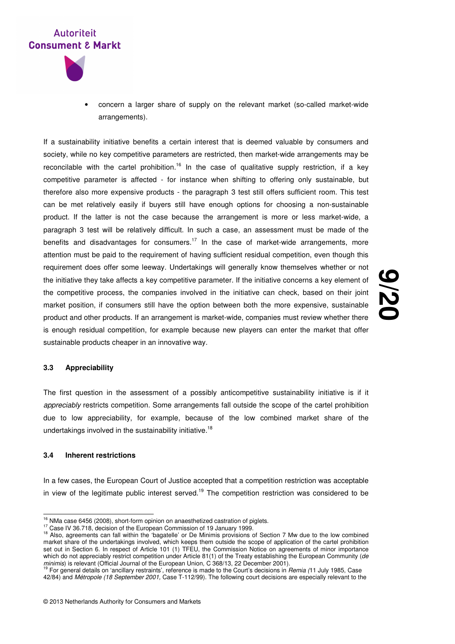



• concern a larger share of supply on the relevant market (so-called market-wide arrangements).

If a sustainability initiative benefits a certain interest that is deemed valuable by consumers and society, while no key competitive parameters are restricted, then market-wide arrangements may be reconcilable with the cartel prohibition.<sup>16</sup> In the case of qualitative supply restriction, if a key competitive parameter is affected - for instance when shifting to offering only sustainable, but therefore also more expensive products - the paragraph 3 test still offers sufficient room. This test can be met relatively easily if buyers still have enough options for choosing a non-sustainable product. If the latter is not the case because the arrangement is more or less market-wide, a paragraph 3 test will be relatively difficult. In such a case, an assessment must be made of the benefits and disadvantages for consumers.<sup>17</sup> In the case of market-wide arrangements, more attention must be paid to the requirement of having sufficient residual competition, even though this requirement does offer some leeway. Undertakings will generally know themselves whether or not the initiative they take affects a key competitive parameter. If the initiative concerns a key element of the competitive process, the companies involved in the initiative can check, based on their joint market position, if consumers still have the option between both the more expensive, sustainable product and other products. If an arrangement is market-wide, companies must review whether there is enough residual competition, for example because new players can enter the market that offer sustainable products cheaper in an innovative way.

## **9 /20**

#### **3.3 Appreciability**

The first question in the assessment of a possibly anticompetitive sustainability initiative is if it appreciably restricts competition. Some arrangements fall outside the scope of the cartel prohibition due to low appreciability, for example, because of the low combined market share of the undertakings involved in the sustainability initiative.<sup>18</sup>

## **3.4 Inherent restrictions**

 $\overline{a}$ 

In a few cases, the European Court of Justice accepted that a competition restriction was acceptable in view of the legitimate public interest served.<sup>19</sup> The competition restriction was considered to be

 $16$  NMa case 6456 (2008), short-form opinion on anaesthetized castration of piglets.

<sup>&</sup>lt;sup>17</sup> Case IV 36.718, decision of the European Commission of 19 January 1999.

<sup>&</sup>lt;sup>18</sup> Also, agreements can fall within the 'bagatelle' or De Minimis provisions of Section 7 Mw due to the low combined market share of the undertakings involved, which keeps them outside the scope of application of the cartel prohibition set out in Section 6. In respect of Article 101 (1) TFEU, the Commission Notice on agreements of minor importance which do not appreciably restrict competition under Article 81(1) of the Treaty establishing the European Community (de *minimis*) is relevant (Official Journal of the European Union, C 368/13, 22 December 2001).<br><sup>19</sup> For general details on 'ancillary restraints', reference is made to the Court's decisions in *Remia (*11 July 1985, Case

<sup>42/84)</sup> and Métropole (18 September 2001, Case T-112/99). The following court decisions are especially relevant to the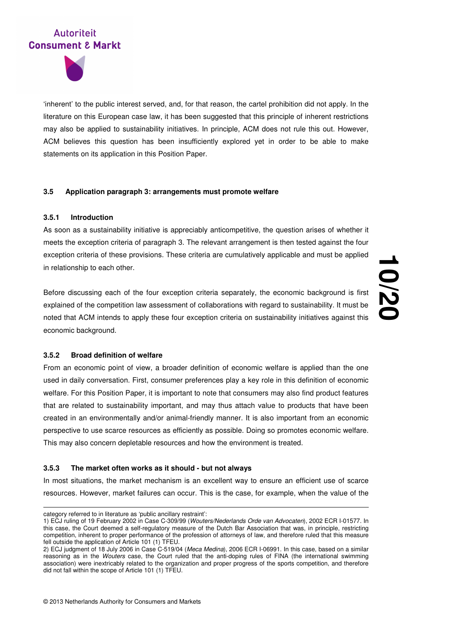

'inherent' to the public interest served, and, for that reason, the cartel prohibition did not apply. In the literature on this European case law, it has been suggested that this principle of inherent restrictions may also be applied to sustainability initiatives. In principle, ACM does not rule this out. However, ACM believes this question has been insufficiently explored yet in order to be able to make statements on its application in this Position Paper.

## **3.5 Application paragraph 3: arrangements must promote welfare**

## **3.5.1 Introduction**

As soon as a sustainability initiative is appreciably anticompetitive, the question arises of whether it meets the exception criteria of paragraph 3. The relevant arrangement is then tested against the four exception criteria of these provisions. These criteria are cumulatively applicable and must be applied in relationship to each other.

Before discussing each of the four exception criteria separately, the economic background is first explained of the competition law assessment of collaborations with regard to sustainability. It must be noted that ACM intends to apply these four exception criteria on sustainability initiatives against this economic background.

**10 /20**

#### **3.5.2 Broad definition of welfare**

From an economic point of view, a broader definition of economic welfare is applied than the one used in daily conversation. First, consumer preferences play a key role in this definition of economic welfare. For this Position Paper, it is important to note that consumers may also find product features that are related to sustainability important, and may thus attach value to products that have been created in an environmentally and/or animal-friendly manner. It is also important from an economic perspective to use scarce resources as efficiently as possible. Doing so promotes economic welfare. This may also concern depletable resources and how the environment is treated.

### **3.5.3 The market often works as it should - but not always**

In most situations, the market mechanism is an excellent way to ensure an efficient use of scarce resources. However, market failures can occur. This is the case, for example, when the value of the

-

category referred to in literature as 'public ancillary restraint':

<sup>1)</sup> ECJ ruling of 19 February 2002 in Case C-309/99 (Wouters/Nederlands Orde van Advocaten), 2002 ECR I-01577. In this case, the Court deemed a self-regulatory measure of the Dutch Bar Association that was, in principle, restricting competition, inherent to proper performance of the profession of attorneys of law, and therefore ruled that this measure fell outside the application of Article 101 (1) TFEU.

<sup>2)</sup> ECJ judgment of 18 July 2006 in Case C-519/04 (Meca Medina), 2006 ECR I-06991. In this case, based on a similar reasoning as in the Wouters case, the Court ruled that the anti-doping rules of FINA (the international swimming association) were inextricably related to the organization and proper progress of the sports competition, and therefore did not fall within the scope of Article 101 (1) TFEU.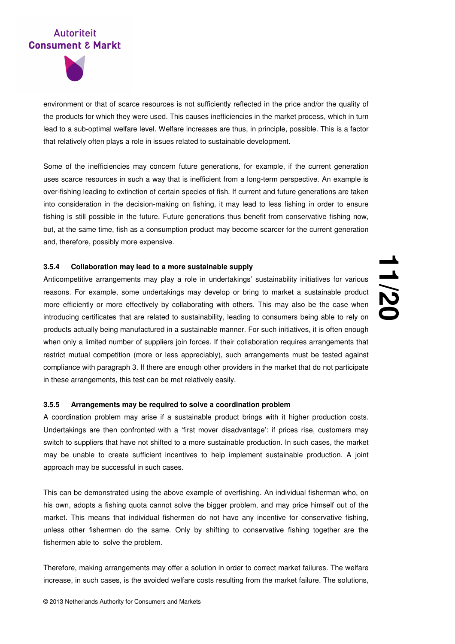

environment or that of scarce resources is not sufficiently reflected in the price and/or the quality of the products for which they were used. This causes inefficiencies in the market process, which in turn lead to a sub-optimal welfare level. Welfare increases are thus, in principle, possible. This is a factor that relatively often plays a role in issues related to sustainable development.

Some of the inefficiencies may concern future generations, for example, if the current generation uses scarce resources in such a way that is inefficient from a long-term perspective. An example is over-fishing leading to extinction of certain species of fish. If current and future generations are taken into consideration in the decision-making on fishing, it may lead to less fishing in order to ensure fishing is still possible in the future. Future generations thus benefit from conservative fishing now, but, at the same time, fish as a consumption product may become scarcer for the current generation and, therefore, possibly more expensive.

## **3.5.4 Collaboration may lead to a more sustainable supply**

Anticompetitive arrangements may play a role in undertakings' sustainability initiatives for various reasons. For example, some undertakings may develop or bring to market a sustainable product more efficiently or more effectively by collaborating with others. This may also be the case when introducing certificates that are related to sustainability, leading to consumers being able to rely on products actually being manufactured in a sustainable manner. For such initiatives, it is often enough when only a limited number of suppliers join forces. If their collaboration requires arrangements that restrict mutual competition (more or less appreciably), such arrangements must be tested against compliance with paragraph 3. If there are enough other providers in the market that do not participate in these arrangements, this test can be met relatively easily.

## **3.5.5 Arrangements may be required to solve a coordination problem**

A coordination problem may arise if a sustainable product brings with it higher production costs. Undertakings are then confronted with a 'first mover disadvantage': if prices rise, customers may switch to suppliers that have not shifted to a more sustainable production. In such cases, the market may be unable to create sufficient incentives to help implement sustainable production. A joint approach may be successful in such cases.

This can be demonstrated using the above example of overfishing. An individual fisherman who, on his own, adopts a fishing quota cannot solve the bigger problem, and may price himself out of the market. This means that individual fishermen do not have any incentive for conservative fishing, unless other fishermen do the same. Only by shifting to conservative fishing together are the fishermen able to solve the problem.

Therefore, making arrangements may offer a solution in order to correct market failures. The welfare increase, in such cases, is the avoided welfare costs resulting from the market failure. The solutions,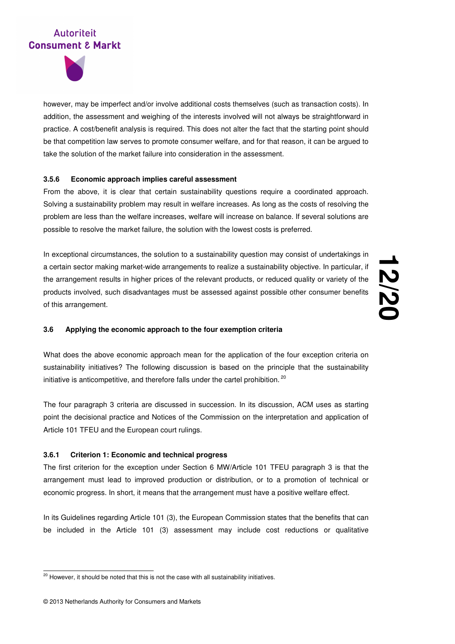

however, may be imperfect and/or involve additional costs themselves (such as transaction costs). In addition, the assessment and weighing of the interests involved will not always be straightforward in practice. A cost/benefit analysis is required. This does not alter the fact that the starting point should be that competition law serves to promote consumer welfare, and for that reason, it can be argued to take the solution of the market failure into consideration in the assessment.

## **3.5.6 Economic approach implies careful assessment**

From the above, it is clear that certain sustainability questions require a coordinated approach. Solving a sustainability problem may result in welfare increases. As long as the costs of resolving the problem are less than the welfare increases, welfare will increase on balance. If several solutions are possible to resolve the market failure, the solution with the lowest costs is preferred.

In exceptional circumstances, the solution to a sustainability question may consist of undertakings in a certain sector making market-wide arrangements to realize a sustainability objective. In particular, if the arrangement results in higher prices of the relevant products, or reduced quality or variety of the products involved, such disadvantages must be assessed against possible other consumer benefits of this arrangement.

**12 /20**

## **3.6 Applying the economic approach to the four exemption criteria**

What does the above economic approach mean for the application of the four exception criteria on sustainability initiatives? The following discussion is based on the principle that the sustainability initiative is anticompetitive, and therefore falls under the cartel prohibition.<sup>20</sup>

The four paragraph 3 criteria are discussed in succession. In its discussion, ACM uses as starting point the decisional practice and Notices of the Commission on the interpretation and application of Article 101 TFEU and the European court rulings.

## **3.6.1 Criterion 1: Economic and technical progress**

The first criterion for the exception under Section 6 MW/Article 101 TFEU paragraph 3 is that the arrangement must lead to improved production or distribution, or to a promotion of technical or economic progress. In short, it means that the arrangement must have a positive welfare effect.

In its Guidelines regarding Article 101 (3), the European Commission states that the benefits that can be included in the Article 101 (3) assessment may include cost reductions or qualitative

 $\overline{a}$ 

<sup>&</sup>lt;sup>20</sup> However, it should be noted that this is not the case with all sustainability initiatives.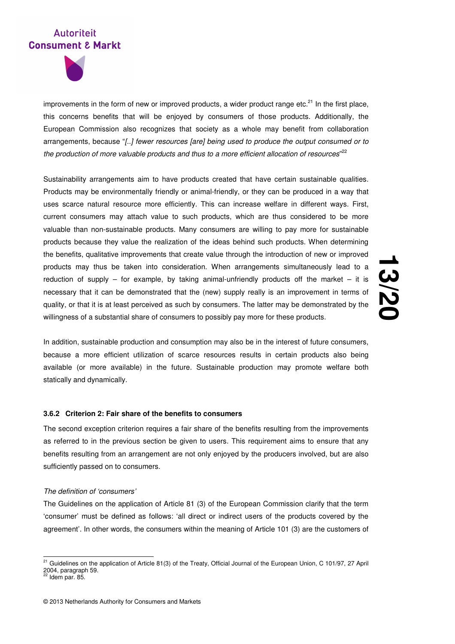

improvements in the form of new or improved products, a wider product range etc. $^{21}$  In the first place, this concerns benefits that will be enjoyed by consumers of those products. Additionally, the European Commission also recognizes that society as a whole may benefit from collaboration arrangements, because "[..] fewer resources [are] being used to produce the output consumed or to the production of more valuable products and thus to a more efficient allocation of resources"<sup>22</sup>

Sustainability arrangements aim to have products created that have certain sustainable qualities. Products may be environmentally friendly or animal-friendly, or they can be produced in a way that uses scarce natural resource more efficiently. This can increase welfare in different ways. First, current consumers may attach value to such products, which are thus considered to be more valuable than non-sustainable products. Many consumers are willing to pay more for sustainable products because they value the realization of the ideas behind such products. When determining the benefits, qualitative improvements that create value through the introduction of new or improved products may thus be taken into consideration. When arrangements simultaneously lead to a reduction of supply – for example, by taking animal-unfriendly products off the market – it is necessary that it can be demonstrated that the (new) supply really is an improvement in terms of quality, or that it is at least perceived as such by consumers. The latter may be demonstrated by the willingness of a substantial share of consumers to possibly pay more for these products.

# <u>اب</u> **/20**

In addition, sustainable production and consumption may also be in the interest of future consumers, because a more efficient utilization of scarce resources results in certain products also being available (or more available) in the future. Sustainable production may promote welfare both statically and dynamically.

## **3.6.2 Criterion 2: Fair share of the benefits to consumers**

The second exception criterion requires a fair share of the benefits resulting from the improvements as referred to in the previous section be given to users. This requirement aims to ensure that any benefits resulting from an arrangement are not only enjoyed by the producers involved, but are also sufficiently passed on to consumers.

#### The definition of 'consumers'

The Guidelines on the application of Article 81 (3) of the European Commission clarify that the term 'consumer' must be defined as follows: 'all direct or indirect users of the products covered by the agreement'. In other words, the consumers within the meaning of Article 101 (3) are the customers of

l

<sup>&</sup>lt;sup>21</sup> Guidelines on the application of Article 81(3) of the Treaty, Official Journal of the European Union, C 101/97, 27 April 2004, paragraph 59.

Idem par. 85.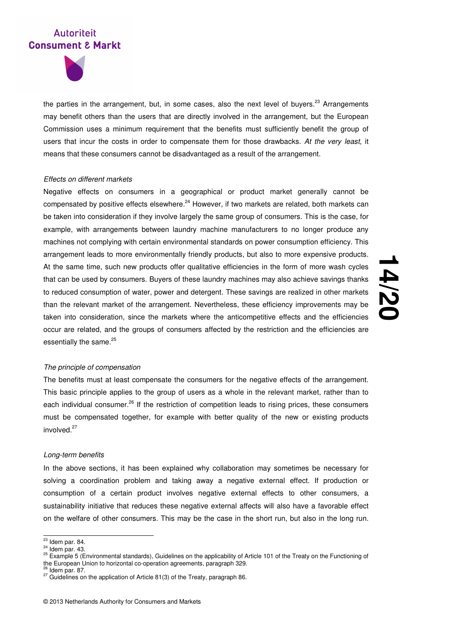

the parties in the arrangement, but, in some cases, also the next level of buyers.<sup>23</sup> Arrangements may benefit others than the users that are directly involved in the arrangement, but the European Commission uses a minimum requirement that the benefits must sufficiently benefit the group of users that incur the costs in order to compensate them for those drawbacks. At the very least, it means that these consumers cannot be disadvantaged as a result of the arrangement.

## Effects on different markets

Negative effects on consumers in a geographical or product market generally cannot be compensated by positive effects elsewhere.<sup>24</sup> However, if two markets are related, both markets can be taken into consideration if they involve largely the same group of consumers. This is the case, for example, with arrangements between laundry machine manufacturers to no longer produce any machines not complying with certain environmental standards on power consumption efficiency. This arrangement leads to more environmentally friendly products, but also to more expensive products. At the same time, such new products offer qualitative efficiencies in the form of more wash cycles that can be used by consumers. Buyers of these laundry machines may also achieve savings thanks to reduced consumption of water, power and detergent. These savings are realized in other markets than the relevant market of the arrangement. Nevertheless, these efficiency improvements may be taken into consideration, since the markets where the anticompetitive effects and the efficiencies occur are related, and the groups of consumers affected by the restriction and the efficiencies are essentially the same.<sup>25</sup>

# **14 /20**

#### The principle of compensation

The benefits must at least compensate the consumers for the negative effects of the arrangement. This basic principle applies to the group of users as a whole in the relevant market, rather than to each individual consumer.<sup>26</sup> If the restriction of competition leads to rising prices, these consumers must be compensated together, for example with better quality of the new or existing products involved.<sup>27</sup>

## Long-term benefits

In the above sections, it has been explained why collaboration may sometimes be necessary for solving a coordination problem and taking away a negative external effect. If production or consumption of a certain product involves negative external effects to other consumers, a sustainability initiative that reduces these negative external affects will also have a favorable effect on the welfare of other consumers. This may be the case in the short run, but also in the long run.

 $\overline{a}$ <sup>23</sup> Idem par. 84.

 $24$  Idem par. 43.

<sup>&</sup>lt;sup>25</sup> Example 5 (Environmental standards), Guidelines on the applicability of Article 101 of the Treaty on the Functioning of the European Union to horizontal co-operation agreements, paragraph 329.

 $26$  Idem par. 87.

<sup>27</sup> Guidelines on the application of Article 81(3) of the Treaty, paragraph 86.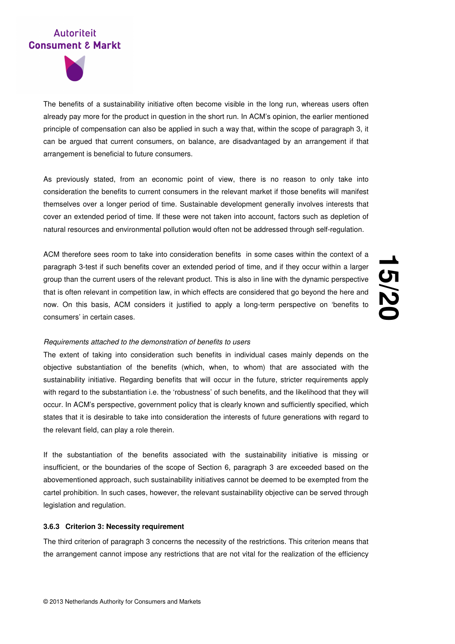

The benefits of a sustainability initiative often become visible in the long run, whereas users often already pay more for the product in question in the short run. In ACM's opinion, the earlier mentioned principle of compensation can also be applied in such a way that, within the scope of paragraph 3, it can be argued that current consumers, on balance, are disadvantaged by an arrangement if that arrangement is beneficial to future consumers.

As previously stated, from an economic point of view, there is no reason to only take into consideration the benefits to current consumers in the relevant market if those benefits will manifest themselves over a longer period of time. Sustainable development generally involves interests that cover an extended period of time. If these were not taken into account, factors such as depletion of natural resources and environmental pollution would often not be addressed through self-regulation.

ACM therefore sees room to take into consideration benefits in some cases within the context of a paragraph 3-test if such benefits cover an extended period of time, and if they occur within a larger group than the current users of the relevant product. This is also in line with the dynamic perspective that is often relevant in competition law, in which effects are considered that go beyond the here and now. On this basis, ACM considers it justified to apply a long-term perspective on 'benefits to consumers' in certain cases.

# <u>ب</u><br>55 **/20**

#### Requirements attached to the demonstration of benefits to users

The extent of taking into consideration such benefits in individual cases mainly depends on the objective substantiation of the benefits (which, when, to whom) that are associated with the sustainability initiative. Regarding benefits that will occur in the future, stricter requirements apply with regard to the substantiation i.e. the 'robustness' of such benefits, and the likelihood that they will occur. In ACM's perspective, government policy that is clearly known and sufficiently specified, which states that it is desirable to take into consideration the interests of future generations with regard to the relevant field, can play a role therein.

If the substantiation of the benefits associated with the sustainability initiative is missing or insufficient, or the boundaries of the scope of Section 6, paragraph 3 are exceeded based on the abovementioned approach, such sustainability initiatives cannot be deemed to be exempted from the cartel prohibition. In such cases, however, the relevant sustainability objective can be served through legislation and regulation.

#### **3.6.3 Criterion 3: Necessity requirement**

The third criterion of paragraph 3 concerns the necessity of the restrictions. This criterion means that the arrangement cannot impose any restrictions that are not vital for the realization of the efficiency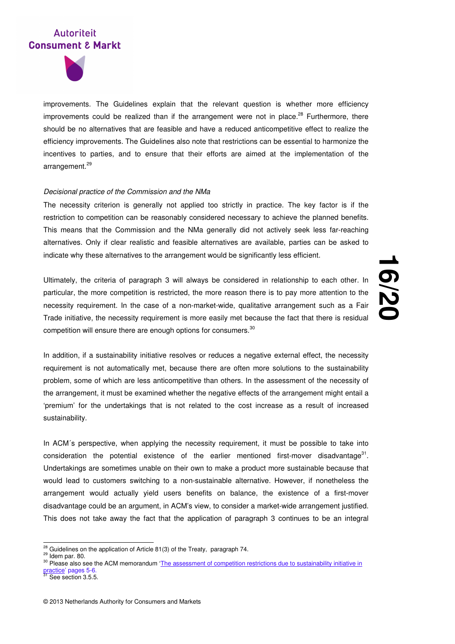

improvements. The Guidelines explain that the relevant question is whether more efficiency improvements could be realized than if the arrangement were not in place.<sup>28</sup> Furthermore, there should be no alternatives that are feasible and have a reduced anticompetitive effect to realize the efficiency improvements. The Guidelines also note that restrictions can be essential to harmonize the incentives to parties, and to ensure that their efforts are aimed at the implementation of the arrangement.<sup>29</sup>

#### Decisional practice of the Commission and the NMa

The necessity criterion is generally not applied too strictly in practice. The key factor is if the restriction to competition can be reasonably considered necessary to achieve the planned benefits. This means that the Commission and the NMa generally did not actively seek less far-reaching alternatives. Only if clear realistic and feasible alternatives are available, parties can be asked to indicate why these alternatives to the arrangement would be significantly less efficient.

Ultimately, the criteria of paragraph 3 will always be considered in relationship to each other. In particular, the more competition is restricted, the more reason there is to pay more attention to the necessity requirement. In the case of a non-market-wide, qualitative arrangement such as a Fair Trade initiative, the necessity requirement is more easily met because the fact that there is residual competition will ensure there are enough options for consumers. $30$ 

**16 /20**

In addition, if a sustainability initiative resolves or reduces a negative external effect, the necessity requirement is not automatically met, because there are often more solutions to the sustainability problem, some of which are less anticompetitive than others. In the assessment of the necessity of the arrangement, it must be examined whether the negative effects of the arrangement might entail a 'premium' for the undertakings that is not related to the cost increase as a result of increased sustainability.

In ACM´s perspective, when applying the necessity requirement, it must be possible to take into consideration the potential existence of the earlier mentioned first-mover disadvantage $31$ . Undertakings are sometimes unable on their own to make a product more sustainable because that would lead to customers switching to a non-sustainable alternative. However, if nonetheless the arrangement would actually yield users benefits on balance, the existence of a first-mover disadvantage could be an argument, in ACM's view, to consider a market-wide arrangement justified. This does not take away the fact that the application of paragraph 3 continues to be an integral

l

 $^{28}$  Guidelines on the application of Article 81(3) of the Treaty, paragraph 74.

 $29$  Idem par. 80.

<sup>&</sup>lt;sup>30</sup> Please also see the ACM memorandum 'The assessment of competition restrictions due to sustainability initiative in practice' pages 5-6.

See section 3.5.5.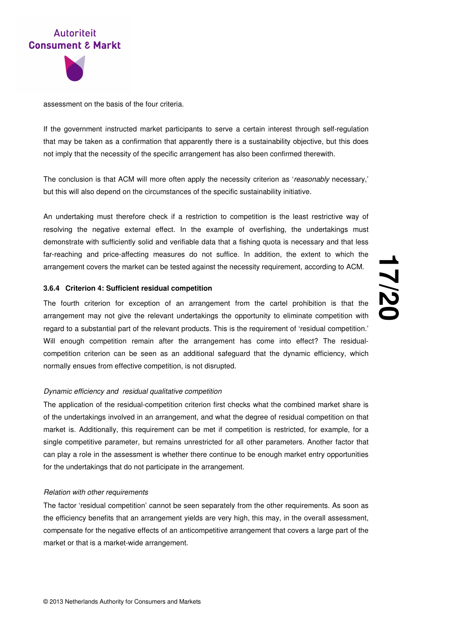



assessment on the basis of the four criteria.

If the government instructed market participants to serve a certain interest through self-regulation that may be taken as a confirmation that apparently there is a sustainability objective, but this does not imply that the necessity of the specific arrangement has also been confirmed therewith.

The conclusion is that ACM will more often apply the necessity criterion as 'reasonably necessary,' but this will also depend on the circumstances of the specific sustainability initiative.

An undertaking must therefore check if a restriction to competition is the least restrictive way of resolving the negative external effect. In the example of overfishing, the undertakings must demonstrate with sufficiently solid and verifiable data that a fishing quota is necessary and that less far-reaching and price-affecting measures do not suffice. In addition, the extent to which the arrangement covers the market can be tested against the necessity requirement, according to ACM.

## **3.6.4 Criterion 4: Sufficient residual competition**

The fourth criterion for exception of an arrangement from the cartel prohibition is that the arrangement may not give the relevant undertakings the opportunity to eliminate competition with regard to a substantial part of the relevant products. This is the requirement of 'residual competition.' Will enough competition remain after the arrangement has come into effect? The residualcompetition criterion can be seen as an additional safeguard that the dynamic efficiency, which normally ensues from effective competition, is not disrupted.

#### Dynamic efficiency and residual qualitative competition

The application of the residual-competition criterion first checks what the combined market share is of the undertakings involved in an arrangement, and what the degree of residual competition on that market is. Additionally, this requirement can be met if competition is restricted, for example, for a single competitive parameter, but remains unrestricted for all other parameters. Another factor that can play a role in the assessment is whether there continue to be enough market entry opportunities for the undertakings that do not participate in the arrangement.

#### Relation with other requirements

The factor 'residual competition' cannot be seen separately from the other requirements. As soon as the efficiency benefits that an arrangement yields are very high, this may, in the overall assessment, compensate for the negative effects of an anticompetitive arrangement that covers a large part of the market or that is a market-wide arrangement.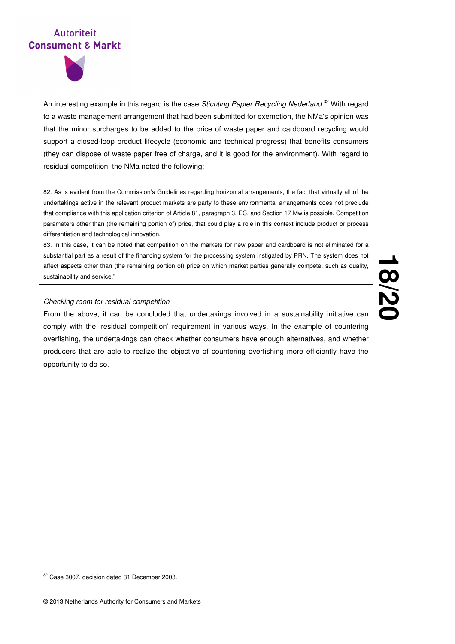

An interesting example in this regard is the case Stichting Papier Recycling Nederland.<sup>32</sup> With regard to a waste management arrangement that had been submitted for exemption, the NMa's opinion was that the minor surcharges to be added to the price of waste paper and cardboard recycling would support a closed-loop product lifecycle (economic and technical progress) that benefits consumers (they can dispose of waste paper free of charge, and it is good for the environment). With regard to residual competition, the NMa noted the following:

82. As is evident from the Commission's Guidelines regarding horizontal arrangements, the fact that virtually all of the undertakings active in the relevant product markets are party to these environmental arrangements does not preclude that compliance with this application criterion of Article 81, paragraph 3, EC, and Section 17 Mw is possible. Competition parameters other than (the remaining portion of) price, that could play a role in this context include product or process differentiation and technological innovation.

83. In this case, it can be noted that competition on the markets for new paper and cardboard is not eliminated for a substantial part as a result of the financing system for the processing system instigated by PRN. The system does not affect aspects other than (the remaining portion of) price on which market parties generally compete, such as quality, sustainability and service."

## Checking room for residual competition

From the above, it can be concluded that undertakings involved in a sustainability initiative can comply with the 'residual competition' requirement in various ways. In the example of countering overfishing, the undertakings can check whether consumers have enough alternatives, and whether producers that are able to realize the objective of countering overfishing more efficiently have the opportunity to do so.

 $\overline{a}$ <sup>32</sup> Case 3007, decision dated 31 December 2003.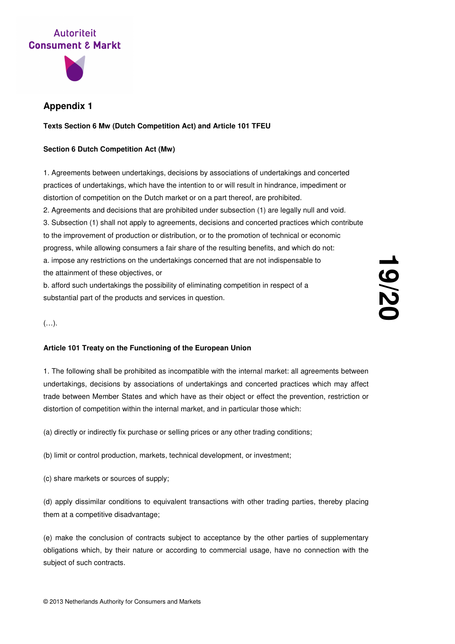

## **Appendix 1**

**Texts Section 6 Mw (Dutch Competition Act) and Article 101 TFEU** 

## **Section 6 Dutch Competition Act (Mw)**

1. Agreements between undertakings, decisions by associations of undertakings and concerted practices of undertakings, which have the intention to or will result in hindrance, impediment or distortion of competition on the Dutch market or on a part thereof, are prohibited.

2. Agreements and decisions that are prohibited under subsection (1) are legally null and void.

3. Subsection (1) shall not apply to agreements, decisions and concerted practices which contribute to the improvement of production or distribution, or to the promotion of technical or economic progress, while allowing consumers a fair share of the resulting benefits, and which do not: a. impose any restrictions on the undertakings concerned that are not indispensable to the attainment of these objectives, or

b. afford such undertakings the possibility of eliminating competition in respect of a substantial part of the products and services in question.

## (…).

## **Article 101 Treaty on the Functioning of the European Union**

1. The following shall be prohibited as incompatible with the internal market: all agreements between undertakings, decisions by associations of undertakings and concerted practices which may affect trade between Member States and which have as their object or effect the prevention, restriction or distortion of competition within the internal market, and in particular those which:

(a) directly or indirectly fix purchase or selling prices or any other trading conditions;

(b) limit or control production, markets, technical development, or investment;

(c) share markets or sources of supply;

(d) apply dissimilar conditions to equivalent transactions with other trading parties, thereby placing them at a competitive disadvantage;

(e) make the conclusion of contracts subject to acceptance by the other parties of supplementary obligations which, by their nature or according to commercial usage, have no connection with the subject of such contracts.